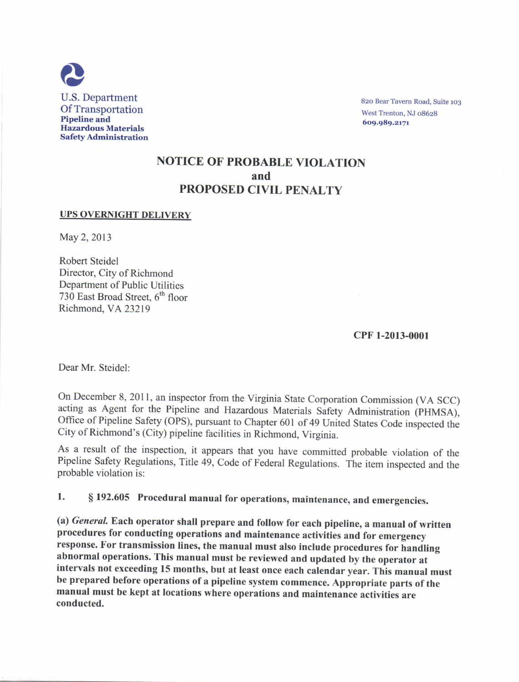

820 Bear Tavern Road, Suite 103 West Trenton, NJ 08628 609.989.2171

# NOTICE OF PROBABLE VIOLATION and PROPOSED CIVIL PENALTY

#### UPS OVERNIGHT DELIVERY

May 2, 2013

Robert Steidel Director, City of Richmond Department of Public Utilities 730 East Broad Street, 6<sup>th</sup> floor Richmond, VA23219

### cPF 1-2013-000t

Dear Mr. Steidel:

On December 8, 2011, an inspector from the Virginia State Corporation Commission (VA SCC) acting as Agent for the Pipeline and Hazardous Materials Safety Administration (PHMSA), Office of Pipeline Safety (OPS), pursuant to Chapter 601 of 49 United States Code inspected the City of Richmond's (City) pipeline facilities in Richmond, Virginia.

As a result of the inspection, it appears that you have committed probable violation of the Pipeline Safety Regulations, Title 49, code of Federal Regulations. The item inspected and the probable violation is:

1. § 192.605 Procedural manual for operations, maintenance, and emergencies.

(a) General. Each operator shall prepare and follow for each pipeline, a manual of written procedures for conducting operations and maintenance activities and for emergency response. For transmission lines, the manual must also include procedures for handling abnormal operations. This manual must be reviewed and updated by the operator at intervals not exceeding 15 months, but at least once each caiendar year. This manual must be prepared before operations of a pipeline system commence. Appropriate parts of the manual must be kept at locations where operations and maintenance activities are conducted.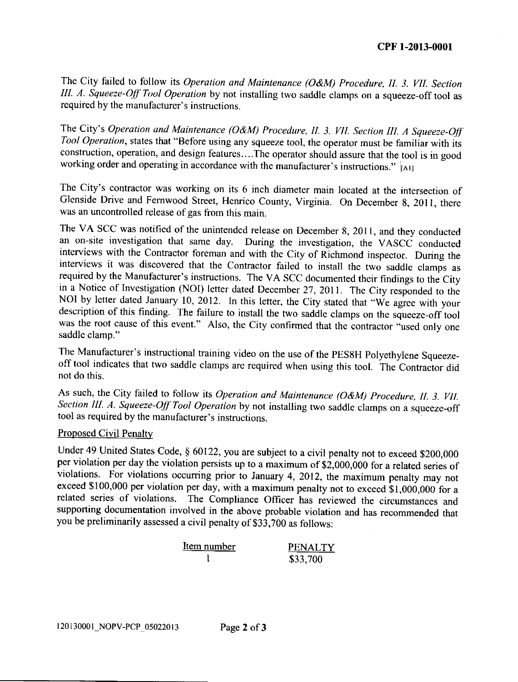The City failed to follow its Operation and Maintenance (O&M) Procedure, II. 3. VII. Section III. A. Squeeze-Off Tool Operation by not installing two saddle clamps on a squeeze-off tool as required by the manufacturer's instructions.

The City's Operation and Maintenance (O&M) Procedure, II. 3. VII. Section III. A Squeeze-Off Tool Operation. states that "Before using any squeeze tool. the operator must be familiar with its construction, operation, and design features....The operator should assure that the tool is in good working order and operating in accordance with the manufacturer's instructions."  $\vert$ All

The City's contractor was working on its 6 inch diameter main located at the intersection of Glenside Drive and Fernwood Street, Henrico County, Virginia. On December 8, 2011, there was an uncontrolled release of gas from this main.

The VA SCC was notified of the unintended release on December 8, 201l. and thev conducted an on-site investigation that same day. During the investigation, the VASCC conducted interviews with the Contractor foreman and with the City of Richmond inspector. During the interviews it was discovered that the Contractor failed to install the two saddle clamns as required by the Manufacturer's instructions. The VA SCC documented their findings to the City<br>in a Notice of Investigation (NOI) letter dated December 27, 2011. The City responded to the NOI by letter dated January 10, 2012. In this letter, the City stated that "We agree with your description of this finding. The failure to install the two saddle clamps on the squeeze-off tool was the root cause of this event." Also, the City confirmed that the contractor "used only one saddle clamp."

The Manufacturer's instructional training video on the use of the PES8H polyethylene Squeezeoff tool indicates that two saddle clamps are required when using this tool. The Contractor did not do this.

As such, the City failed to follow its Operation and Maintenance (O&M) Procedure, II. 3. VII. Section III. A. Squeeze-Off Tool Operation by not installing two saddle clamps on a squeeze-off tool as required by the manufacturer's instructions.

# Proposed Civil Penaltv

Under 49 United States Code, § 60122, you are subject to a civil penalty not to exceed \$200,000 per violation per day the violation persists up to a maximum of \$2,000,000 for a related series of violations. For violations occurring prior to January 4, 2012, the maximum penalty may not  $\epsilon$ xceed \$100,000 per violation per day, with a maximum penalty not to exceed \$1,000,000 exceed \$1,000,000 for a related series of violations. The Compliance Officer has reviewed the circumstances and supporting documentation involved in the above probable violation and has recommended that you be preliminarily assessed a civil penalty of \$33,700 as follows:

| Item number | <b>PENALTY</b> |
|-------------|----------------|
|             | \$33,700       |